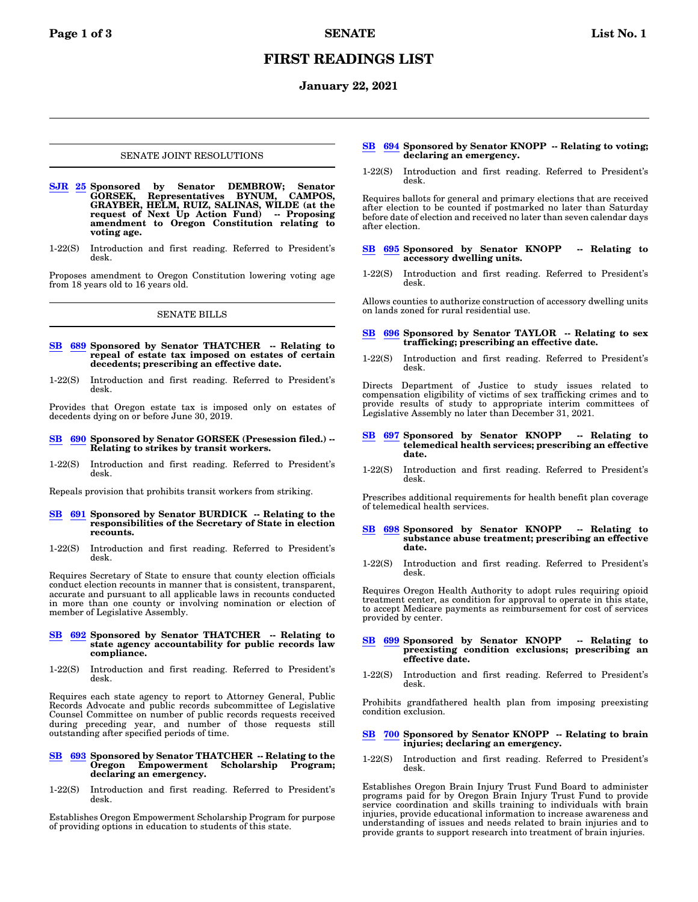# **FIRST READINGS LIST**

## **January 22, 2021**

#### SENATE JOINT RESOLUTIONS

- **[SJR](https://olis.oregonlegislature.gov/liz/2021R1/Measures/Overview/SJR25) [25](https://olis.oregonlegislature.gov/liz/2021R1/Measures/Overview/SJR25) Sponsored by Senator DEMBROW; Senator GORSEK, Representatives BYNUM, CAMPOS, GRAYBER, HELM, RUIZ, SALINAS, WILDE (at the request of Next Up Action Fund) -- Proposing amendment to Oregon Constitution relating to voting age.**
- 1-22(S) Introduction and first reading. Referred to President's desk.

Proposes amendment to Oregon Constitution lowering voting age from 18 years old to 16 years old.

## SENATE BILLS

- **[SB](https://olis.oregonlegislature.gov/liz/2021R1/Measures/Overview/SB689) [689](https://olis.oregonlegislature.gov/liz/2021R1/Measures/Overview/SB689) Sponsored by Senator THATCHER -- Relating to repeal of estate tax imposed on estates of certain decedents; prescribing an effective date.**
- 1-22(S) Introduction and first reading. Referred to President's desk.

Provides that Oregon estate tax is imposed only on estates of decedents dying on or before June 30, 2019.

#### **[SB](https://olis.oregonlegislature.gov/liz/2021R1/Measures/Overview/SB690) [690](https://olis.oregonlegislature.gov/liz/2021R1/Measures/Overview/SB690) Sponsored by Senator GORSEK (Presession filed.) -- Relating to strikes by transit workers.**

1-22(S) Introduction and first reading. Referred to President's desk.

Repeals provision that prohibits transit workers from striking.

#### **[SB](https://olis.oregonlegislature.gov/liz/2021R1/Measures/Overview/SB691) [691](https://olis.oregonlegislature.gov/liz/2021R1/Measures/Overview/SB691) Sponsored by Senator BURDICK -- Relating to the responsibilities of the Secretary of State in election recounts.**

1-22(S) Introduction and first reading. Referred to President's desk.

Requires Secretary of State to ensure that county election officials conduct election recounts in manner that is consistent, transparent, accurate and pursuant to all applicable laws in recounts conducted in more than one county or involving nomination or election of member of Legislative Assembly.

#### **[SB](https://olis.oregonlegislature.gov/liz/2021R1/Measures/Overview/SB692) [692](https://olis.oregonlegislature.gov/liz/2021R1/Measures/Overview/SB692) Sponsored by Senator THATCHER -- Relating to state agency accountability for public records law compliance.**

1-22(S) Introduction and first reading. Referred to President's desk.

Requires each state agency to report to Attorney General, Public Records Advocate and public records subcommittee of Legislative Counsel Committee on number of public records requests received during preceding year, and number of those requests still outstanding after specified periods of time.

#### **[SB](https://olis.oregonlegislature.gov/liz/2021R1/Measures/Overview/SB693) [693](https://olis.oregonlegislature.gov/liz/2021R1/Measures/Overview/SB693) Sponsored by Senator THATCHER -- Relating to the Oregon Empowerment declaring an emergency.**

1-22(S) Introduction and first reading. Referred to President's desk.

Establishes Oregon Empowerment Scholarship Program for purpose of providing options in education to students of this state.

#### **[SB](https://olis.oregonlegislature.gov/liz/2021R1/Measures/Overview/SB694) [694](https://olis.oregonlegislature.gov/liz/2021R1/Measures/Overview/SB694) Sponsored by Senator KNOPP -- Relating to voting; declaring an emergency.**

1-22(S) Introduction and first reading. Referred to President's desk.

Requires ballots for general and primary elections that are received after election to be counted if postmarked no later than Saturday before date of election and received no later than seven calendar days after election.

- **[SB](https://olis.oregonlegislature.gov/liz/2021R1/Measures/Overview/SB695) [695](https://olis.oregonlegislature.gov/liz/2021R1/Measures/Overview/SB695) Sponsored by Senator KNOPP -- Relating to accessory dwelling units.**
- 1-22(S) Introduction and first reading. Referred to President's desk.

Allows counties to authorize construction of accessory dwelling units on lands zoned for rural residential use.

#### **[SB](https://olis.oregonlegislature.gov/liz/2021R1/Measures/Overview/SB696) [696](https://olis.oregonlegislature.gov/liz/2021R1/Measures/Overview/SB696) Sponsored by Senator TAYLOR -- Relating to sex trafficking; prescribing an effective date.**

1-22(S) Introduction and first reading. Referred to President's desk.

Directs Department of Justice to study issues related to compensation eligibility of victims of sex trafficking crimes and to provide results of study to appropriate interim committees of Legislative Assembly no later than December 31, 2021.

#### **[SB](https://olis.oregonlegislature.gov/liz/2021R1/Measures/Overview/SB697) [697](https://olis.oregonlegislature.gov/liz/2021R1/Measures/Overview/SB697) Sponsored by Senator KNOPP -- Relating to telemedical health services; prescribing an effective date.**

1-22(S) Introduction and first reading. Referred to President's desk.

Prescribes additional requirements for health benefit plan coverage of telemedical health services.

#### **[SB](https://olis.oregonlegislature.gov/liz/2021R1/Measures/Overview/SB698) [698](https://olis.oregonlegislature.gov/liz/2021R1/Measures/Overview/SB698) Sponsored by Senator KNOPP -- Relating to substance abuse treatment; prescribing an effective date.**

1-22(S) Introduction and first reading. Referred to President's desk.

Requires Oregon Health Authority to adopt rules requiring opioid treatment center, as condition for approval to operate in this state, to accept Medicare payments as reimbursement for cost of services provided by center.

# **[SB](https://olis.oregonlegislature.gov/liz/2021R1/Measures/Overview/SB699) [699](https://olis.oregonlegislature.gov/liz/2021R1/Measures/Overview/SB699) Sponsored by Senator KNOPP -- Relating to preexisting condition exclusions; prescribing an effective date.**

1-22(S) Introduction and first reading. Referred to President's desk.

Prohibits grandfathered health plan from imposing preexisting condition exclusion.

### **[SB](https://olis.oregonlegislature.gov/liz/2021R1/Measures/Overview/SB700) [700](https://olis.oregonlegislature.gov/liz/2021R1/Measures/Overview/SB700) Sponsored by Senator KNOPP -- Relating to brain injuries; declaring an emergency.**

1-22(S) Introduction and first reading. Referred to President's desk.

Establishes Oregon Brain Injury Trust Fund Board to administer programs paid for by Oregon Brain Injury Trust Fund to provide service coordination and skills training to individuals with brain injuries, provide educational information to increase awareness and understanding of issues and needs related to brain injuries and to provide grants to support research into treatment of brain injuries.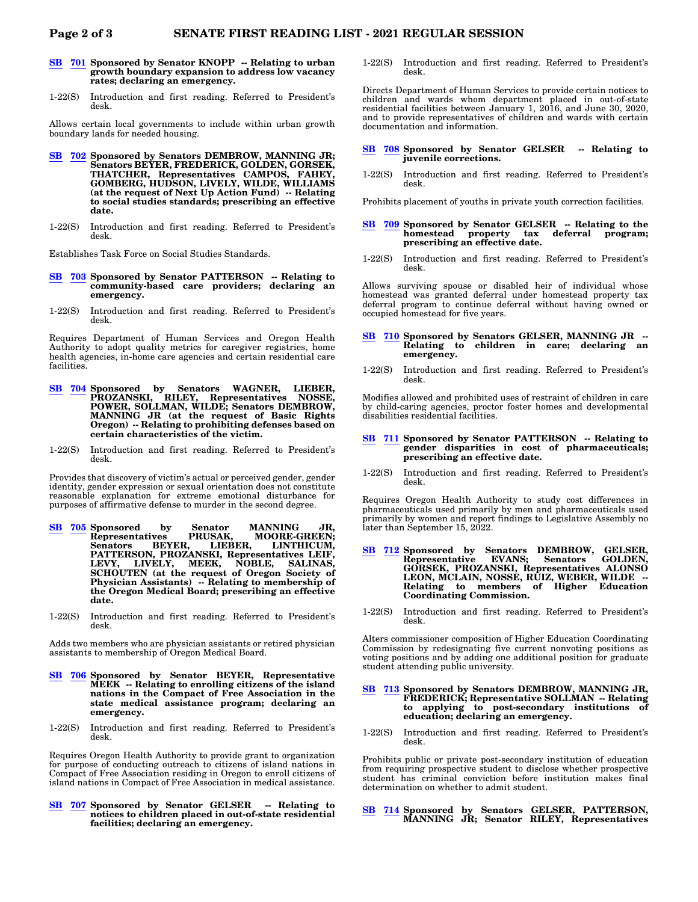- **[SB](https://olis.oregonlegislature.gov/liz/2021R1/Measures/Overview/SB701) [701](https://olis.oregonlegislature.gov/liz/2021R1/Measures/Overview/SB701) Sponsored by Senator KNOPP -- Relating to urban growth boundary expansion to address low vacancy rates; declaring an emergency.**
- 1-22(S) Introduction and first reading. Referred to President's desk.

Allows certain local governments to include within urban growth boundary lands for needed housing.

- **[SB](https://olis.oregonlegislature.gov/liz/2021R1/Measures/Overview/SB702) [702](https://olis.oregonlegislature.gov/liz/2021R1/Measures/Overview/SB702) Sponsored by Senators DEMBROW, MANNING JR; Senators BEYER, FREDERICK, GOLDEN, GORSEK, THATCHER, Representatives CAMPOS, FAHEY, GOMBERG, HUDSON, LIVELY, WILDE, WILLIAMS (at the request of Next Up Action Fund) -- Relating to social studies standards; prescribing an effective date.**
- 1-22(S) Introduction and first reading. Referred to President's desk.

Establishes Task Force on Social Studies Standards.

- **[SB](https://olis.oregonlegislature.gov/liz/2021R1/Measures/Overview/SB703) [703](https://olis.oregonlegislature.gov/liz/2021R1/Measures/Overview/SB703) Sponsored by Senator PATTERSON -- Relating to community-based care providers; declaring an emergency.**
- 1-22(S) Introduction and first reading. Referred to President's desk.

Requires Department of Human Services and Oregon Health Authority to adopt quality metrics for caregiver registries, home health agencies, in-home care agencies and certain residential care facilities.

- **[SB](https://olis.oregonlegislature.gov/liz/2021R1/Measures/Overview/SB704) [704](https://olis.oregonlegislature.gov/liz/2021R1/Measures/Overview/SB704) Sponsored by Senators WAGNER, LIEBER, PROZANSKI, RILEY, Representatives NOSSE, POWER, SOLLMAN, WILDE; Senators DEMBROW, MANNING JR (at the request of Basic Rights Oregon) -- Relating to prohibiting defenses based on certain characteristics of the victim.**
- 1-22(S) Introduction and first reading. Referred to President's desk.

Provides that discovery of victim's actual or perceived gender, gender identity, gender expression or sexual orientation does not constitute reasonable explanation for extreme emotional disturbance for purposes of affirmative defense to murder in the second degree.

- **[SB](https://olis.oregonlegislature.gov/liz/2021R1/Measures/Overview/SB705) [705](https://olis.oregonlegislature.gov/liz/2021R1/Measures/Overview/SB705) Sponsored by Senator MANNING JR, Representatives PRUSAK, MOORE-GREEN; Senators BEYER, LIEBER, LINTHICUM, PATTERSON, PROZANSKI, Representatives LEIF, LEVY, LIVELY, MEEK, NOBLE, SALINAS, SCHOUTEN (at the request of Oregon Society of Physician Assistants) -- Relating to membership of the Oregon Medical Board; prescribing an effective date.**
- 1-22(S) Introduction and first reading. Referred to President's desk.

Adds two members who are physician assistants or retired physician assistants to membership of Oregon Medical Board.

- **[SB](https://olis.oregonlegislature.gov/liz/2021R1/Measures/Overview/SB706) [706](https://olis.oregonlegislature.gov/liz/2021R1/Measures/Overview/SB706) Sponsored by Senator BEYER, Representative MEEK -- Relating to enrolling citizens of the island nations in the Compact of Free Association in the state medical assistance program; declaring an emergency.**
- 1-22(S) Introduction and first reading. Referred to President's desk.

Requires Oregon Health Authority to provide grant to organization for purpose of conducting outreach to citizens of island nations in Compact of Free Association residing in Oregon to enroll citizens of island nations in Compact of Free Association in medical assistance.

**[SB](https://olis.oregonlegislature.gov/liz/2021R1/Measures/Overview/SB707) [707](https://olis.oregonlegislature.gov/liz/2021R1/Measures/Overview/SB707) Sponsored by Senator GELSER -- Relating to notices to children placed in out-of-state residential facilities; declaring an emergency.**

1-22(S) Introduction and first reading. Referred to President's desk.

Directs Department of Human Services to provide certain notices to children and wards whom department placed in out-of-state residential facilities between January 1, 2016, and June 30, 2020, and to provide representatives of children and wards with certain documentation and information.

- **[SB](https://olis.oregonlegislature.gov/liz/2021R1/Measures/Overview/SB708) [708](https://olis.oregonlegislature.gov/liz/2021R1/Measures/Overview/SB708) Sponsored by Senator GELSER -- Relating to juvenile corrections.**
- 1-22(S) Introduction and first reading. Referred to President's desk.

Prohibits placement of youths in private youth correction facilities.

- **[SB](https://olis.oregonlegislature.gov/liz/2021R1/Measures/Overview/SB709) [709](https://olis.oregonlegislature.gov/liz/2021R1/Measures/Overview/SB709) Sponsored by Senator GELSER -- Relating to the** deferral program; **prescribing an effective date.**
- 1-22(S) Introduction and first reading. Referred to President's desk.

Allows surviving spouse or disabled heir of individual whose homestead was granted deferral under homestead property tax deferral program to continue deferral without having owned or occupied homestead for five years.

#### **[SB](https://olis.oregonlegislature.gov/liz/2021R1/Measures/Overview/SB710) [710](https://olis.oregonlegislature.gov/liz/2021R1/Measures/Overview/SB710) Sponsored by Senators GELSER, MANNING JR -- Relating to children in care; declaring an emergency.**

1-22(S) Introduction and first reading. Referred to President's desk.

Modifies allowed and prohibited uses of restraint of children in care by child-caring agencies, proctor foster homes and developmental disabilities residential facilities.

#### **[SB](https://olis.oregonlegislature.gov/liz/2021R1/Measures/Overview/SB711) [711](https://olis.oregonlegislature.gov/liz/2021R1/Measures/Overview/SB711) Sponsored by Senator PATTERSON -- Relating to gender disparities in cost of pharmaceuticals; prescribing an effective date.**

1-22(S) Introduction and first reading. Referred to President's desk.

Requires Oregon Health Authority to study cost differences in pharmaceuticals used primarily by men and pharmaceuticals used primarily by women and report findings to Legislative Assembly no later than September 15, 2022.

- **[SB](https://olis.oregonlegislature.gov/liz/2021R1/Measures/Overview/SB712) [712](https://olis.oregonlegislature.gov/liz/2021R1/Measures/Overview/SB712) Sponsored by Senators DEMBROW, GELSER, Representative EVANS; Senators GOLDEN, GORSEK, PROZANSKI, Representatives ALONSO LEON, MCLAIN, NOSSE, RUIZ, WEBER, WILDE -- Relating to members of Higher Education Coordinating Commission.**
- 1-22(S) Introduction and first reading. Referred to President's desk.

Alters commissioner composition of Higher Education Coordinating Commission by redesignating five current nonvoting positions as voting positions and by adding one additional position for graduate student attending public university.

## **[SB](https://olis.oregonlegislature.gov/liz/2021R1/Measures/Overview/SB713) [713](https://olis.oregonlegislature.gov/liz/2021R1/Measures/Overview/SB713) Sponsored by Senators DEMBROW, MANNING JR, FREDERICK; Representative SOLLMAN -- Relating to applying to post-secondary institutions of education; declaring an emergency.**

1-22(S) Introduction and first reading. Referred to President's desk.

Prohibits public or private post-secondary institution of education from requiring prospective student to disclose whether prospective student has criminal conviction before institution makes final determination on whether to admit student.

### **[SB](https://olis.oregonlegislature.gov/liz/2021R1/Measures/Overview/SB714) [714](https://olis.oregonlegislature.gov/liz/2021R1/Measures/Overview/SB714) Sponsored by Senators GELSER, PATTERSON, MANNING JR; Senator RILEY, Representatives**